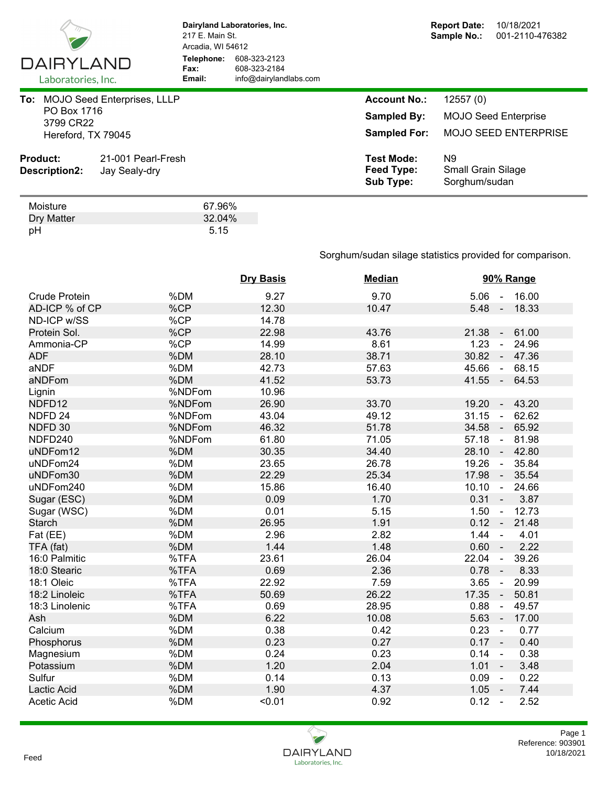

**Dairyland Laboratories, Inc.** 217 E. Main St. Arcadia, WI 54612 **Telephone:** 608-323-2123 **Fax:** 608-323-2184<br> **Email:** info@dairyland **Email:** info@dairylandlabs.com

| <b>Product:</b><br>Description2:                      | 21-001 Pearl-Fresh<br>Jay Sealy-dry | <b>Test Mode:</b><br>Feed Type:<br><b>Sub Type:</b>              | N9<br><b>Small Grain Silage</b><br>Sorghum/sudan                       |  |
|-------------------------------------------------------|-------------------------------------|------------------------------------------------------------------|------------------------------------------------------------------------|--|
| To:<br>PO Box 1716<br>3799 CR22<br>Hereford, TX 79045 | <b>MOJO Seed Enterprises, LLLP</b>  | <b>Account No.:</b><br><b>Sampled By:</b><br><b>Sampled For:</b> | 12557(0)<br><b>MOJO Seed Enterprise</b><br><b>MOJO SEED ENTERPRISE</b> |  |

| Moisture   | 67.96% |
|------------|--------|
| Dry Matter | 32.04% |
| pH         | 5.15   |

## Sorghum/sudan silage statistics provided for comparison.

|                      |        | <b>Dry Basis</b> | <b>Median</b> | 90% Range                                  |
|----------------------|--------|------------------|---------------|--------------------------------------------|
| <b>Crude Protein</b> | %DM    | 9.27             | 9.70          | $5.06 -$<br>16.00                          |
| AD-ICP % of CP       | %CP    | 12.30            | 10.47         | 5.48<br>18.33<br>$\sim$                    |
| ND-ICP w/SS          | %CP    | 14.78            |               |                                            |
| Protein Sol.         | %CP    | 22.98            | 43.76         | 61.00<br>21.38<br>$\sim$                   |
| Ammonia-CP           | %CP    | 14.99            | 8.61          | 1.23<br>24.96<br>÷,                        |
| <b>ADF</b>           | %DM    | 28.10            | 38.71         | 30.82<br>47.36<br>$\blacksquare$           |
| aNDF                 | %DM    | 42.73            | 57.63         | 45.66<br>68.15<br>$\blacksquare$           |
| aNDFom               | %DM    | 41.52            | 53.73         | $41.55 -$<br>64.53                         |
| Lignin               | %NDFom | 10.96            |               |                                            |
| NDFD12               | %NDFom | 26.90            | 33.70         | 43.20<br>19.20<br>$\blacksquare$           |
| NDFD <sub>24</sub>   | %NDFom | 43.04            | 49.12         | 31.15<br>62.62<br>$\blacksquare$           |
| NDFD 30              | %NDFom | 46.32            | 51.78         | 34.58<br>65.92<br>$\blacksquare$           |
| NDFD240              | %NDFom | 61.80            | 71.05         | 57.18<br>81.98<br>$\omega$                 |
| uNDFom12             | %DM    | 30.35            | 34.40         | 28.10<br>42.80<br>$\blacksquare$           |
| uNDFom24             | %DM    | 23.65            | 26.78         | 19.26<br>35.84<br>÷,                       |
| uNDFom30             | %DM    | 22.29            | 25.34         | 17.98<br>35.54<br>$\blacksquare$           |
| uNDFom240            | %DM    | 15.86            | 16.40         | 10.10<br>$\Delta$<br>24.66                 |
| Sugar (ESC)          | %DM    | 0.09             | 1.70          | 0.31<br>3.87<br>$\sim$                     |
| Sugar (WSC)          | %DM    | 0.01             | 5.15          | 12.73<br>1.50<br>$\blacksquare$            |
| <b>Starch</b>        | %DM    | 26.95            | 1.91          | 21.48<br>$0.12 -$                          |
| Fat (EE)             | %DM    | 2.96             | 2.82          | 1.44<br>4.01<br>$\blacksquare$             |
| TFA (fat)            | %DM    | 1.44             | 1.48          | $0.60 -$<br>2.22                           |
| 16:0 Palmitic        | %TFA   | 23.61            | 26.04         | 22.04<br>39.26<br>$\blacksquare$           |
| 18:0 Stearic         | %TFA   | 0.69             | 2.36          | 0.78<br>8.33<br>$\mathcal{L}_{\mathbf{r}}$ |
| 18:1 Oleic           | %TFA   | 22.92            | 7.59          | 3.65<br>20.99<br>$\blacksquare$            |
| 18:2 Linoleic        | %TFA   | 50.69            | 26.22         | 17.35<br>50.81                             |
| 18:3 Linolenic       | %TFA   | 0.69             | 28.95         | 0.88<br>49.57<br>÷,                        |
| Ash                  | %DM    | 6.22             | 10.08         | 5.63<br>17.00<br>$\blacksquare$            |
| Calcium              | %DM    | 0.38             | 0.42          | 0.23<br>0.77<br>$\blacksquare$             |
| Phosphorus           | %DM    | 0.23             | 0.27          | $0.17 -$<br>0.40                           |
| Magnesium            | %DM    | 0.24             | 0.23          | 0.14<br>0.38<br>$\blacksquare$             |
| Potassium            | %DM    | 1.20             | 2.04          | 1.01<br>3.48<br>$\sim$                     |
| Sulfur               | %DM    | 0.14             | 0.13          | 0.09<br>0.22<br>$\blacksquare$             |
| Lactic Acid          | %DM    | 1.90             | 4.37          | 1.05<br>7.44<br>$\sim$                     |
| <b>Acetic Acid</b>   | %DM    | < 0.01           | 0.92          | 0.12<br>2.52<br>$\sim$                     |